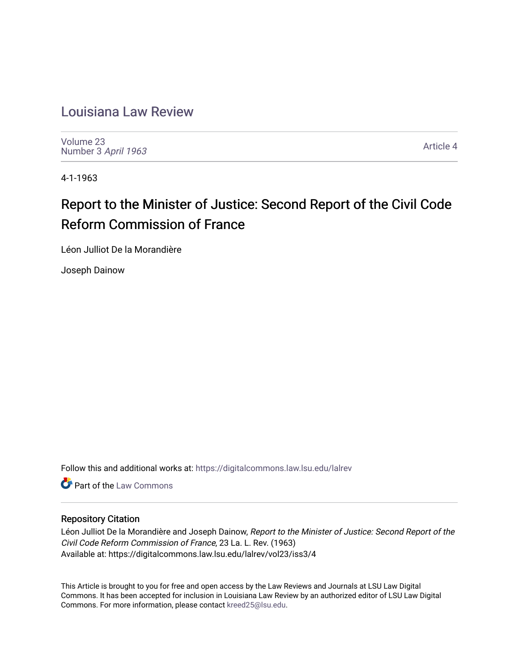# [Louisiana Law Review](https://digitalcommons.law.lsu.edu/lalrev)

[Volume 23](https://digitalcommons.law.lsu.edu/lalrev/vol23) [Number 3](https://digitalcommons.law.lsu.edu/lalrev/vol23/iss3) April 1963

[Article 4](https://digitalcommons.law.lsu.edu/lalrev/vol23/iss3/4) 

4-1-1963

# Report to the Minister of Justice: Second Report of the Civil Code Reform Commission of France

Léon Julliot De la Morandière

Joseph Dainow

Follow this and additional works at: [https://digitalcommons.law.lsu.edu/lalrev](https://digitalcommons.law.lsu.edu/lalrev?utm_source=digitalcommons.law.lsu.edu%2Flalrev%2Fvol23%2Fiss3%2F4&utm_medium=PDF&utm_campaign=PDFCoverPages)

**C** Part of the [Law Commons](http://network.bepress.com/hgg/discipline/578?utm_source=digitalcommons.law.lsu.edu%2Flalrev%2Fvol23%2Fiss3%2F4&utm_medium=PDF&utm_campaign=PDFCoverPages)

### Repository Citation

Léon Julliot De la Morandière and Joseph Dainow, Report to the Minister of Justice: Second Report of the Civil Code Reform Commission of France, 23 La. L. Rev. (1963) Available at: https://digitalcommons.law.lsu.edu/lalrev/vol23/iss3/4

This Article is brought to you for free and open access by the Law Reviews and Journals at LSU Law Digital Commons. It has been accepted for inclusion in Louisiana Law Review by an authorized editor of LSU Law Digital Commons. For more information, please contact [kreed25@lsu.edu](mailto:kreed25@lsu.edu).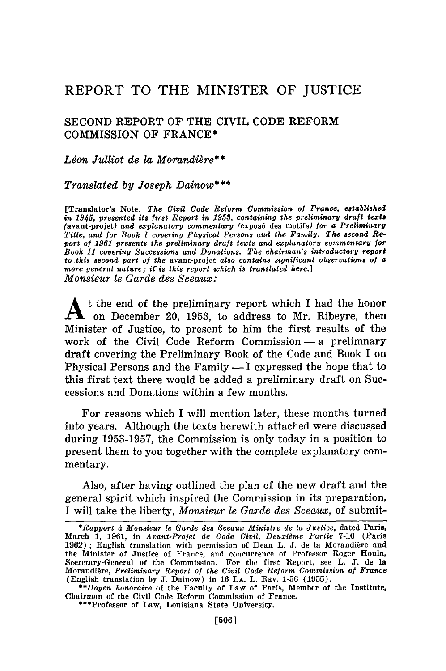## REPORT TO THE MINISTER OF JUSTICE

#### SECOND REPORT OF THE CIVIL CODE REFORM COMMISSION OF FRANCE\*

#### Léon Julliot de la Morandière\*\*

#### *Translated by Joseph Dainow\*\*\**

[Translator's Note. *The Civil Code Reform Commission of France, established in 1945, presented its first Report in 1953, containing the preliminary draft tezts* (avant-projet) *and explanatory commentary* (exposd des motifs) *for a Preliminary Title, and for Book I covering Physical Persons and the Family. The second Report of 1961 presents the preliminary draft texts and explanatory commentary for Book II covering Successions and Donations. The chairman's introductory report to this second part of the* avant-projet *also contains significant observations of a more general nature; if is this report which is translated here.] Monsieur le Garde des Sceaux:*

**A** t the end of the preliminary report which I had the honor  $\mathcal{F}$  on December 20, 1953, to address to Mr. Ribeyre, then Minister of Justice, to present to him the first results of the work of the Civil Code Reform Commission - a prelimnary draft covering the Preliminary Book of the Code and Book I on Physical Persons and the Family  $- I$  expressed the hope that to this first text there would be added a preliminary draft on Successions and Donations within a few months.

For reasons which I will mention later, these months turned into years. Although the texts herewith attached were discussed during 1953-1957, the Commission is only today in a position to present them to you together with the complete explanatory commentary.

Also, after having outlined the plan of the new draft and the general spirit which inspired the Commission in its preparation, I will take the liberty, *Monsieur le Garde des Sceaux,* of submit-

\*\*\*Professor of Law, Louisiana State University.

*<sup>\*</sup>Rapport d Monsieur le Garde des Sceaux Ministre de la Justice,* dated Paris, March 1, 1961, in *Avant-Projet de Code Civil, Deuxime Partie* 7-16 (Paris  $1962$ ); English translation with permission of Dean L. J. de la Morandière and the Minister of Justice of France, and concurrence of Professor Roger Houin, Secretary-General of the Commission. For the first Report, see L. J. de la Morandière, *Preliminary Report of the Civil Code Reform Commission of France* (English translation by J. Dainow) in 16 **LA.** L. **REv.** 1-56 (1955).

*<sup>\*\*</sup>Doyen honoraire* of the Faculty of Law of Paris, Member of the Institute, Chairman of the Civil Code Reform Commission of France.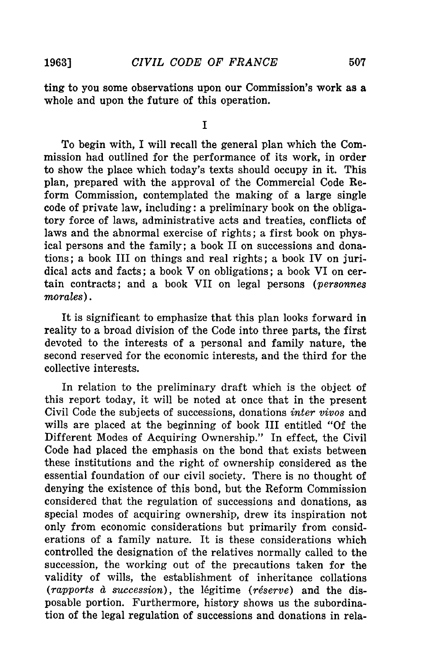507

ting to you some observations upon our Commission's work as a whole and upon the future of this operation.

**I**

To begin with, I will recall the general plan which the Commission had outlined for the performance of its work, in order to show the place which today's texts should occupy in it. This plan, prepared with the approval of the Commercial Code Reform Commission, contemplated the making of a large single code of private law, including: a preliminary book on the obligatory force of laws, administrative acts and treaties, conflicts of laws and the abnormal exercise of rights; a first book on physical persons and the family; a book II on successions and donations; a book III on things and real rights; a book IV on juridical acts and facts; a book V on obligations; a book VI on certain contracts; and a book VII on legal persons *(personnes morales).*

It is significant to emphasize that this plan looks forward in reality to a broad division of the Code into three parts, the first devoted to the interests of a personal and family nature, the second reserved for the economic interests, and the third for the collective interests.

In relation to the preliminary draft which is the object of this report today, it will be noted at once that in the present Civil Code the subjects of successions, donations *inter vivos* and wills are placed at the beginning of book III entitled "Of the Different Modes of Acquiring Ownership." In effect, the Civil Code had placed the emphasis on the bond that exists between these institutions and the right of ownership considered as the essential foundation of our civil society. There is no thought of denying the existence of this bond, but the Reform Commission considered that the regulation of successions and donations, as special modes of acquiring ownership, drew its inspiration not only from economic considerations but primarily from considerations of a family nature. It is these considerations which controlled the designation of the relatives normally called to the succession, the working out of the precautions taken for the validity of wills, the establishment of inheritance collations (rapports à succession), the légitime (réserve) and the disposable portion. Furthermore, history shows us the subordination of the legal regulation of successions and donations in rela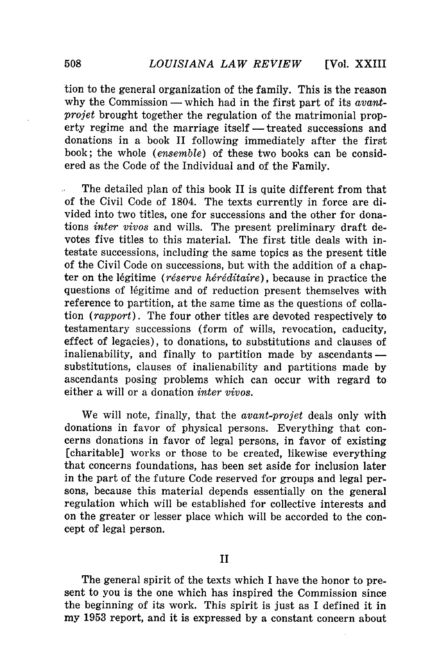tion to the general organization of the family. This is the reason why the Commission — which had in the first part of its *avantprojet* brought together the regulation of the matrimonial property regime and the marriage itself — treated successions and donations in a book II following immediately after the first book; the whole *(ensemble)* of these two books can be considered as the Code of the Individual and of the Family.

The detailed plan of this book II is quite different from that of the Civil Code of 1804. The texts currently in force are divided into two titles, one for successions and the other for donations *inter vivos* and wills. The present preliminary draft devotes five titles to this material. The first title deals with intestate successions, including the same topics as the present title of the Civil Code on successions, but with the addition of a chapter on the légitime *(réserve héréditaire)*, because in practice the questions of légitime and of reduction present themselves with reference to partition, at the same time as the questions of collation *(rapport).* The four other titles are devoted respectively to testamentary successions (form of wills, revocation, caducity, effect of legacies), to donations, to substitutions and clauses of inalienability, and finally to partition made by ascendants  $$ substitutions, clauses of inalienability and partitions made by ascendants posing problems which can occur with regard to either a will or a donation *inter vivos.*

We will note, finally, that the *avant-projet* deals only with donations in favor of physical persons. Everything that concerns donations in favor of legal persons, in favor of existing [charitable] works or those to be created, likewise everything that concerns foundations, has been set aside for inclusion later in the part of the future Code reserved for groups and legal persons, because this material depends essentially on the general regulation which will be established for collective interests and on the greater or lesser place which will be accorded to the concept of legal person.

The general spirit of the texts which I have the honor to present to you is the one which has inspired the Commission since the beginning of its work. This spirit is just as I defined it in my 1953 report, and it is expressed by a constant concern about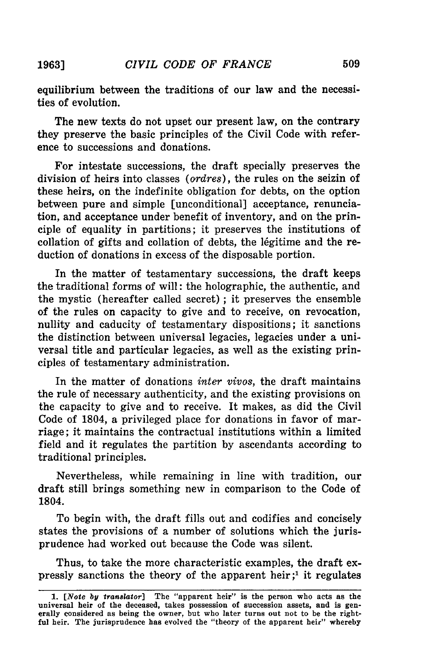equilibrium between the traditions of our law and the necessities of evolution.

The new texts do not upset our present law, on the contrary they preserve the basic principles of the Civil Code with reference to successions and donations.

For intestate successions, the draft specially preserves the division of heirs into classes *(ordres),* the rules on the seizin of these heirs, on the indefinite obligation for debts, on the option between pure and simple [unconditional] acceptance, renunciation, and acceptance under benefit of inventory, and on the principle of equality in partitions; it preserves the institutions of collation of gifts and collation of debts, the légitime and the reduction of donations in excess of the disposable portion.

In the matter of testamentary successions, the draft keeps the traditional forms of will: the holographic, the authentic, and the mystic (hereafter called secret) **;** it preserves the ensemble of the rules on capacity to give and to receive, on revocation, nullity and caducity of testamentary dispositions; it sanctions the distinction between universal legacies, legacies under a universal title and particular legacies, as well as the existing principles of testamentary administration.

In the matter of donations *inter vivos,* the draft maintains the rule of necessary authenticity, and the existing provisions on the capacity to give and to receive. It makes, as did the Civil Code of 1804, a privileged place for donations in favor of marriage; it maintains the contractual institutions within a limited field and it regulates the partition **by** ascendants according to traditional principles.

Nevertheless, while remaining in line with tradition, our draft still brings something new in comparison to the Code of 1804.

To begin with, the draft fills out and codifies and concisely states the provisions of a number of solutions which the jurisprudence had worked out because the Code was silent.

Thus, to take the more characteristic examples, the draft expressly sanctions the theory of the apparent heir;' it regulates

**1963]**

*<sup>1.</sup> [Note* **by** *translator]* The "apparent heir" is the person who acts as the universal heir of the deceased, takes possession of succession assets, and is generally considered as being the owner, but who later turns out not to **be** the rightful heir. The jurisprudence has evolved the "theory of the apparent heir" whereby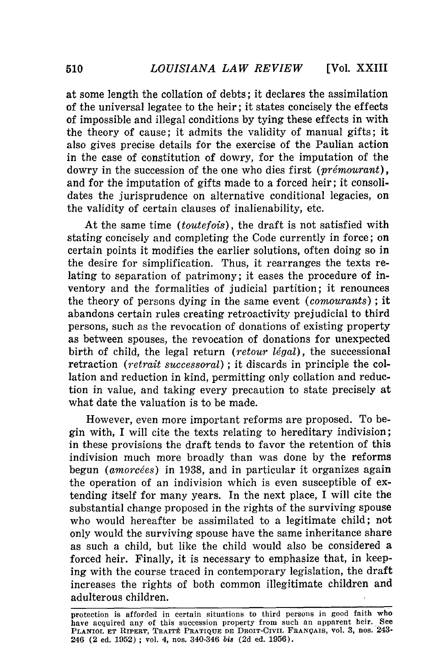at some length the collation of debts; it declares the assimilation of the universal legatee to the heir; it states concisely the effects of impossible and illegal conditions by tying these effects in with the theory of cause; it admits the validity of manual gifts; it also gives precise details for the exercise of the Paulian action in the case of constitution of dowry, for the imputation of the dowry in the succession of the one who dies first (prémourant), and for the imputation of gifts made to a forced heir; it consolidates the jurisprudence on alternative conditional legacies, on the validity of certain clauses of inalienability, etc.

At the same time *(toutefois),* the draft is not satisfied with stating concisely and completing the Code currently in force; on certain points it modifies the earlier solutions, often doing so in the desire for simplification. Thus, it rearranges the texts relating to separation of patrimony; it eases the procedure of inventory and the formalities of judicial partition; it renounces the theory of persons dying in the same event *(comourants)* ; it abandons certain rules creating retroactivity prejudicial to third persons, such as the revocation of donations of existing property as between spouses, the revocation of donations for unexpected birth of child, the legal return *(retour légal)*, the successional retraction *(retrait successoral)* ; it discards in principle the collation and reduction in kind, permitting only collation and reduction in value, and taking every precaution to state precisely at what date the valuation is to be made.

However, even more important reforms are proposed. To begin with, I will cite the texts relating to hereditary indivision; in these provisions the draft tends to favor the retention of this indivision much more broadly than was done by the reforms begun *(amorcées)* in 1938, and in particular it organizes again the operation of an indivision which is even susceptible of extending itself for many years. In the next place, I will cite the substantial change proposed in the rights of the surviving spouse who would hereafter be assimilated to a legitimate child; not only would the surviving spouse have the same inheritance share as such a child, but like the child would also be considered a forced heir. Finally, it is necessary to emphasize that, in keeping with the course traced in contemporary legislation, the draft increases the rights of both common illegitimate children and adulterous children.

protection is afforded in certain situations to third persons in good faith who have acquired any of this succession property from such an apparent heir. See PLANIOL ET RIPERT, TRAITÉ PRATIQUE DE DROIT-CIVIL FRANÇAIS, vol. 3, nos. 243-246 (2 **ed. 1952) ; vol.** 4, **nos.** 340-346 *bis* **(2d** ed. **1956).**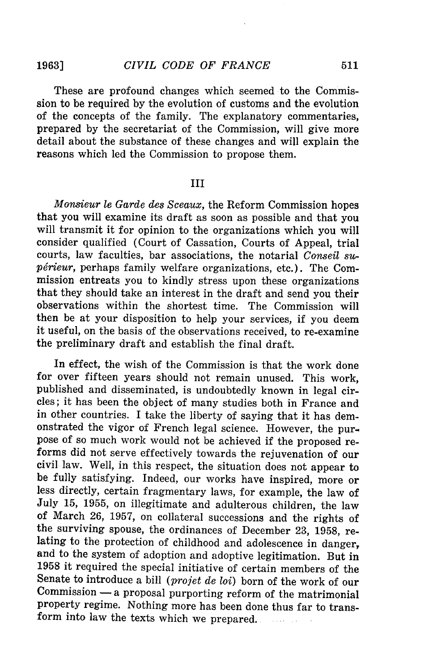**1963]**

These are profound changes which seemed to the Commission to be required by the evolution of customs and the evolution of the concepts of the family. The explanatory commentaries, prepared by the secretariat of the Commission, will give more detail about the substance of these changes and will explain the reasons which led the Commission to propose them.

#### III

*Monsieur le Garde des Sceaux,* the Reform Commission hopes that you will examine its draft as soon as possible and that you will transmit it for opinion to the organizations which you will consider qualified (Court of Cassation, Courts of Appeal, trial courts, law faculties, bar associations, the notarial *Conseil sup6rieur,* perhaps family welfare organizations, etc.). The Commission entreats you to kindly stress upon these organizations that they should take an interest in the draft and send you their observations within the shortest time. The Commission will then be at your disposition to help your services, if you deem it useful, on the basis of the observations received, to re-examine the preliminary draft and establish the final draft.

In effect, the wish of the Commission is that the work done for over fifteen years should not remain unused. This work, published and disseminated, is undoubtedly known in legal circles; it has been the object of many studies both in France and in other countries. I take the liberty of saying that it has demonstrated the vigor of French legal science. However, the purpose of so much work would not be achieved if the proposed reforms did not serve effectively towards the rejuvenation of our civil law. Well, in this respect, the situation does not appear to be fully satisfying. Indeed, our works have inspired, more or less directly, certain fragmentary laws, for example, the law of July 15, 1955, on illegitimate and adulterous children, the law of March 26, 1957, on collateral successions and the rights of the surviving spouse, the ordinances of December 23, 1958, relating to the protection of childhood and adolescence in danger, and to the system of adoption and adoptive legitimation. But in 1958 it required the special initiative of certain members of the Senate to introduce a bill *(projet de loi)* born of the work of our  $Commission - a$  proposal purporting reform of the matrimonial property regime. Nothing more has been done thus far to transform into law the texts which we prepared..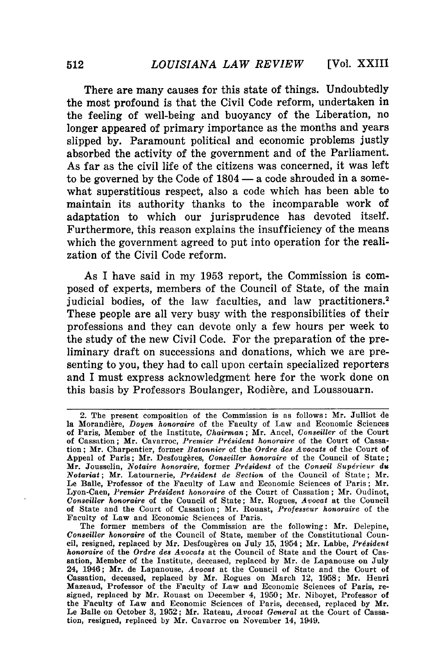There are many causes for this state of things. Undoubtedly the most profound is that the Civil Code reform, undertaken in the feeling of well-being and buoyancy of the Liberation, no longer appeared of primary importance as the months and years slipped **by.** Paramount political and economic problems justly absorbed the activity of the government and of the Parliament. As far as the civil life of the citizens was concerned, it was left to be governed **by** the Code of 1804 **-** a code shrouded in a somewhat superstitious respect, also a code which has been able to maintain its authority thanks to the incomparable work of adaptation to which our jurisprudence has devoted itself. Furthermore, this reason explains the insufficiency of the means which the government agreed to put into operation **for** the realization of the Civil Code reform.

As I have said in my **1953** report, the Commission is composed of experts, members of the Council of State, of the main judicial bodies, of the law faculties, and law practitioners.<sup>2</sup> These people are all very busy with the responsibilities of their professions and they can devote only a few hours per week to the study of the new Civil Code. For the preparation of the preliminary draft on successions and donations, which we are presenting to you, they had to call upon certain specialized reporters and I must express acknowledgment here for the work done on this basis by Professors Boulanger, Rodière, and Loussouarn.

<sup>2.</sup> The present composition of the Commission is as follows: Mr. Julliot de la Morandière, *Doyen honoraire* of the Faculty of Law and Economic Sciences of Paris, Member of the Institute, *Chairman;* Mr. Ancel, *Conseiller* of the Court of Cassation; Mr. Cavarroc, *Premier Prdsident honoraire* of the Court of Cassation; Mr. Charpentier, former *Batonnier* of the *Ordre des Avocats* of the Court of Appeal of Paris; Mr. Desfougères, *Conseiller honoraire* of the Council of State; Mr. Jousselin, *Notaire honoraire,* former *President* of the *Conseil Supdrieur du Notariat;* Mr. Latournerie, *President de Section* of the Council of State; Mr. Le Balle, Professor of the Faculty of Law and Economic Sciences of Paris; Mr. Lyon-Caen, *Premier Prdsident honoraire* of the Court of Cassation; Mr. Oudinot, *Conseiller honoraire* of the Council of State; Mr. Rogues, *Avocat* at the Council of State and the Court of Cassation; Mr. Rouast, *Professeur honoraire* of the Faculty of Law and Economic Sciences of Paris.

The former members of the Commission are the following: Mr. Delepine, *Conseiller honoraire* of the Council of State, member of the Constitutional Council, resigned, replaced by Mr. Desfougères on July 15, 1954; Mr. Labbe, Président *honoraire* of the *Ordre des Avocats* at the Council of State and the Court of Cassation, Member of the Institute, deceased, replaced by Mr. de Lapanouse on July 24, 1946; Mr. de Lapanouse, *Avocat* at the Council of State and the Court of Cassation, deceased, replaced by Mr. Rogues on March 12, 1958; Mr. Henri Mazeaud, Professor of the Faculty of Law and Economic Sciences of Paris, resigned, replaced by Mr. Rouast on December 4, 1950; Mr. Niboyet, Professor of the Faculty of Law and Economic Sciences of Paris, deceased, replaced by Mr. Le Balle on October 3, 1952; Mr. Rateau, *Avocat General* at the Court of Cassation, resigned, replaced by Mr. Cavarroc on November 14, 1949.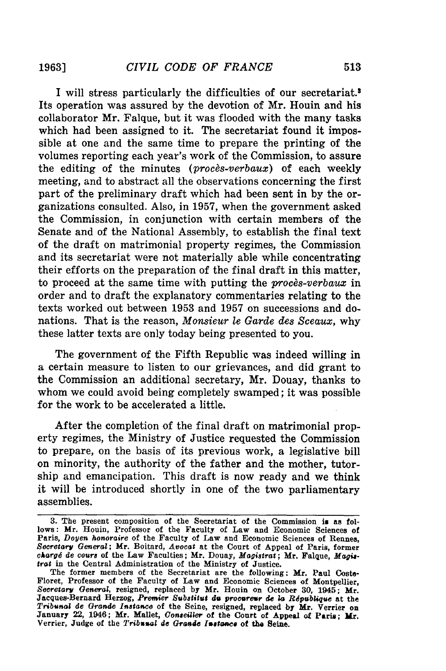I will stress particularly the difficulties of our secretariat.3 Its operation was assured **by** the devotion of Mr. **Houin** and his collaborator Mr. Falque, but it was flooded with the many tasks which had been assigned to it. The secretariat found it impossible at one and the same time to prepare the printing of the volumes reporting each year's work of the Commission, to assure the editing of the minutes *(proces-verbaux)* of each weekly meeting, and to abstract all the observations concerning the first part of the preliminary draft which had been sent in **by** the organizations consulted. Also, in **1957,** when the government asked the Commission, in conjunction with certain members of the Senate and of the National Assembly, to establish the final text of the draft on matrimonial property regimes, the Commission and its secretariat were not materially able while concentrating their efforts on the preparation of the final draft in this matter, to proceed at the same time with putting the *procs-verbaux* in order and to draft the explanatory commentaries relating to the texts worked out between **1953** and **1957** on successions and donations. That is the reason, *Monsieur le Garde des Sceaux,* why these latter texts are only today being presented to you.

The government of the Fifth Republic was indeed willing in a certain measure to listen to our grievances, and did grant to the Commission an additional secretary, Mr. Douay, thanks to whom we could avoid being completely swamped; it was possible for the work to be accelerated a little.

After the completion of the final draft on matrimonial property regimes, the Ministry of Justice requested the Commission to prepare, on the basis of its previous work, a legislative bill on minority, the authority of the father and the mother, tutorship and emancipation. This draft is now ready and we think it will be introduced shortly in one of the two parliamentary assemblies.

**<sup>3.</sup>** The present composition of the Secretariat of the Commission is as follows: Mr. Houin, Professor of the Faculty of Law and Economic Sciences of Paris, *Doyen honoraire* of the Faculty of Law and Economic Sciences of Rennes, *Secretary General;* Mr. Boitard, *Avocat* at the Court of Appeal of Paris, former *charg6 de cours* of the Law Faculties; Mr. Douay, *Magistrat;* Mr. Falque, *Magistrat* in the Central Administration of the Ministry of Justice.

The former members of the Secretariat are the following: Mr. Paul Coste-Floret, Professor of the Faculty of Law and Economic Sciences of Montpellier, Secretary *General,* resigned, replaced by Mr. Houin on October **30,** 1945; Mr. Jacques-Bernard Herzog, *Premier Substitut do* procareur *de la Rdpublique* at the *Tribunal de Grande Instance* of the Seine, resigned, replaced **by Mr.** Verrier on January 22, 1946; Mr. Mallet, *Conseiller* of the Court of Appeal of Paris; *Mr.* Verrier, Judge of the *Tribunal de Grande Instance* of the Seine.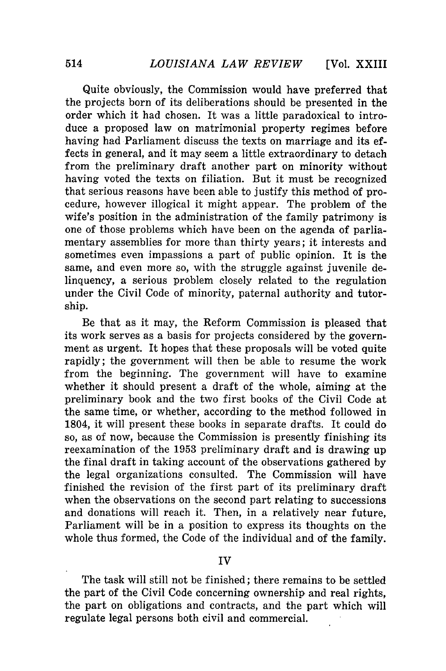Quite obviously, the Commission would have preferred that the projects born of its deliberations should be presented in the order which it had chosen. It was a little paradoxical to introduce a proposed law on matrimonial property regimes before having had Parliament discuss the texts on marriage and its effects in general, and it may seem a little extraordinary to detach from the preliminary draft another part on minority without having voted the texts on filiation. But it must be recognized that serious reasons have been able to justify this method of procedure, however illogical it might appear. The problem of the wife's position in the administration of the family patrimony is one of those problems which have been on the agenda of parliamentary assemblies for more than thirty years; it interests and sometimes even impassions a part of public opinion. It is the same, and even more so, with the struggle against juvenile delinquency, a serious problem closely related to the regulation under the Civil Code of minority, paternal authority and tutorship.

Be that as it may, the Reform Commission is pleased that its work serves as a basis for projects considered by the government as urgent. It hopes that these proposals will be voted quite rapidly; the government will then be able to resume the work from the beginning. The government will have to examine whether it should present a draft of the whole, aiming at the preliminary book and the two first books of the Civil Code at the same time, or whether, according to the method followed in 1804, it will present these books in separate drafts. It could do so, as of now, because the Commission is presently finishing its reexamination of the **1953** preliminary draft and is drawing up the final draft in taking account of the observations gathered **by** the legal organizations consulted. The Commission will have finished the revision of the first part of its preliminary draft when the observations on the second part relating to successions and donations will reach it. Then, in a relatively near future, Parliament will be in a position to express its thoughts on the whole thus formed, the Code of the individual and of the family.

**IV**

The task will still not be finished; there remains to be settled the part of the Civil Code concerning ownership and real rights, the part on obligations and contracts, and the part which will regulate legal persons both civil and commercial.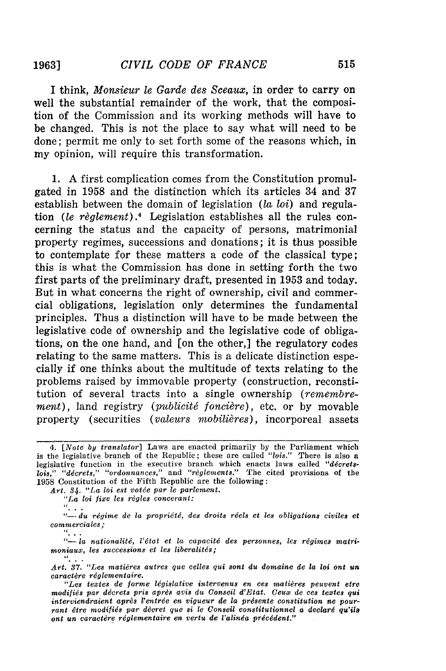**1963]**

I think, *Monsieur le Garde des Sceaux,* in order to carry on well the substantial remainder of the work, that the composition of the Commission and its working methods will have to be changed. This is not the place to say what will need to be done; permit me only to set forth some of the reasons which, in my opinion, will require this transformation.

1. A first complication comes from the Constitution promulgated in 1958 and the distinction which its articles 34 and 37 establish between the domain of legislation *(la loi)* and regulation *(le règlement)*.<sup>4</sup> Legislation establishes all the rules concerning the status and the capacity of persons, matrimonial property regimes, successions and donations; it is thus possible to contemplate for these matters a code of the classical type; this is what the Commission has done in setting forth the two first parts of the preliminary draft, presented in 1953 and today. But in what concerns the right of ownership, civil and commercial obligations, legislation only determines the fundamental principles. Thus a distinction will have to be made between the legislative code of ownership and the legislative code of obligations, on the one hand, and [on the other,] the regulatory codes relating to the same matters. This is a delicate distinction especially if one thinks about the multitude of texts relating to the problems raised by immovable property (construction, reconstitution of several tracts into a single ownership *(remembrement*), land registry (*publicité foncière*), etc. or by movable property (securities *(valeurs mobilières)*, incorporeal assets

la *nationalit6, l'dtat et* la *capacitd des personnes, les rdgimes* matri $moniaux, les successions et les liberalités;$ 

*<sup>4. [</sup>Note by translator]* Laws are enacted primarily by the Parliament which is the legislative branch of the Republic; these are called *"lois."* There is also a legislative function in the executive branch which enacts laws called "décretslois," "décrets," "ordonnances," and "règlements." The cited provisions of the 1958 Constitution of the Fifth Republic are the following:

*Art. 34. "La loi est votde par le parlement.*

*<sup>&</sup>quot;La loi fixe les règles concerant:*<br>"

<sup>&</sup>quot;-- du régime de la propriété, des droits réels et les obligations civiles et *commerciales;*

*Art. 37. "Les matidres autres que celles qui sont* du *domaine de la* loi *oant* un *caractdre rdglementaire.*

*<sup>&</sup>quot;Les te'tes de forme Idgislative intervenus en ces matidres peuvent etre modifids par ddcrets pris aprds avis* du *Conseil d'Etat. Ceuw de ces textes qui interviendraient aprds l'entrde en vigueur de* la *prdsente constitution ne pour*rant être modifiés par dècret que si le Conseil constitutionnel a declaré qu'ils *oant un caractere rdglementaire* en *vertu de l'alinda prdcddent."*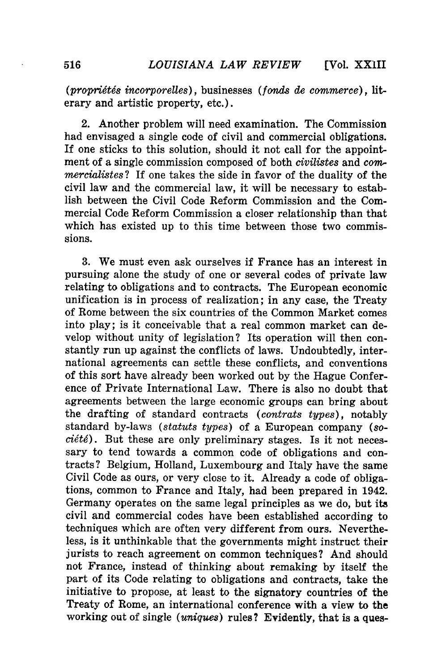**[Vol.** XXII

*(proprigt6s incorporelles),* businesses *(fonds de commerce),* literary and artistic property, etc.).

2. Another problem will need examination. The Commission had envisaged a single code of civil and commercial obligations. If one sticks to this solution, should it not call for the appointment of a single commission composed of both *civilistes* and *commercialistes?* If one takes the side in favor of the duality of the civil law and the commercial law, it will be necessary to establish between the Civil Code Reform Commission and the Commercial Code Reform Commission a closer relationship than that which has existed up to this time between those two commissions.

3. We must even ask ourselves if France has an interest in pursuing alone the study of one or several codes of private law relating to obligations and to contracts. The European economic unification is in process of realization; in any case, the Treaty of Rome between the six countries of the Common Market comes into play; is it conceivable that a real common market can develop without unity of legislation? Its operation will then constantly run up against the conflicts of laws. Undoubtedly, international agreements can settle these conflicts, and conventions of this sort have already been worked out by the Hague Conference of Private International Law. There is also no doubt that agreements between the large economic groups can bring about the drafting of standard contracts *(contrats types),* notably standard by-laws *(statuts types)* of a European company *(so* $ci\acute{e}t\acute{e}$ ). But these are only preliminary stages. Is it not necessary to tend towards a common code of obligations and contracts? Belgium, Holland, Luxembourg and Italy have the same Civil Code as ours, or very close to it. Already a code of obligations, common to France and Italy, had been prepared in 1942. Germany operates on the same legal principles as we do, but its civil and commercial codes have been established according to techniques which are often very different from ours. Nevertheless, is it unthinkable that the governments might instruct their jurists to reach agreement on common techniques? And should not France, instead of thinking about remaking **by** itself the part of its Code relating to obligations and contracts, take the initiative to propose, at least to the signatory countries of the Treaty of Rome, an international conference with a view to the working out of single *(uniques)* rules? Evidently, that is a ques